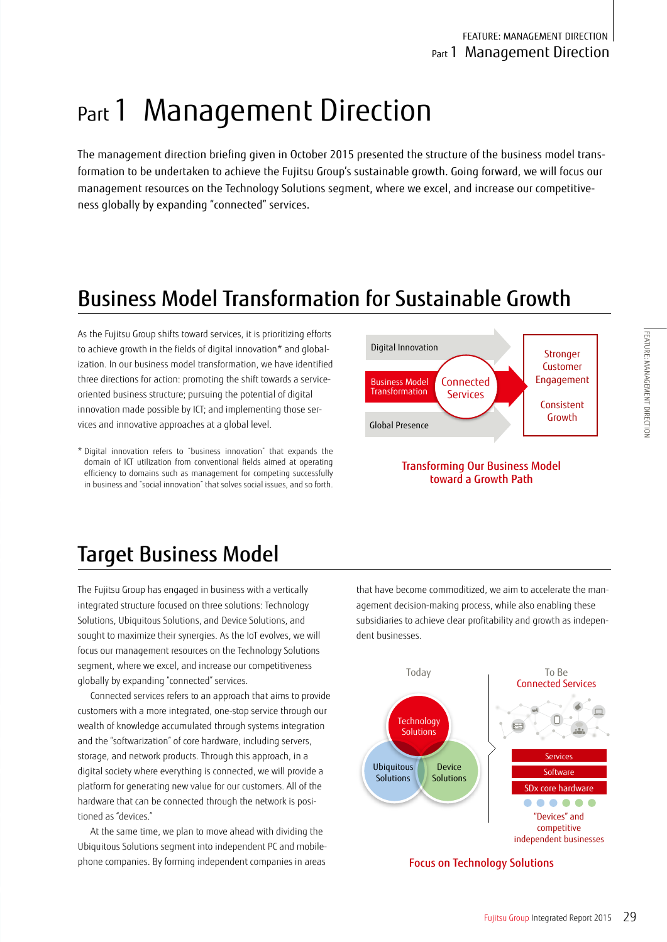# Part 1 Management Direction

The management direction briefing given in October 2015 presented the structure of the business model transformation to be undertaken to achieve the Fujitsu Group's sustainable growth. Going forward, we will focus our management resources on the Technology Solutions segment, where we excel, and increase our competitiveness globally by expanding "connected" services.

# Business Model Transformation for Sustainable Growth

As the Fujitsu Group shifts toward services, it is prioritizing efforts to achieve growth in the fields of digital innovation\* and globalization. In our business model transformation, we have identified three directions for action: promoting the shift towards a serviceoriented business structure; pursuing the potential of digital innovation made possible by ICT; and implementing those services and innovative approaches at a global level.

\* Digital innovation refers to "business innovation" that expands the domain of ICT utilization from conventional fields aimed at operating efficiency to domains such as management for competing successfully in business and "social innovation" that solves social issues, and so forth.



#### Transforming Our Business Model toward a Growth Path

## Target Business Model

The Fujitsu Group has engaged in business with a vertically integrated structure focused on three solutions: Technology Solutions, Ubiquitous Solutions, and Device Solutions, and sought to maximize their synergies. As the IoT evolves, we will focus our management resources on the Technology Solutions segment, where we excel, and increase our competitiveness globally by expanding "connected" services.

Connected services refers to an approach that aims to provide customers with a more integrated, one-stop service through our wealth of knowledge accumulated through systems integration and the "softwarization" of core hardware, including servers, storage, and network products. Through this approach, in a digital society where everything is connected, we will provide a platform for generating new value for our customers. All of the hardware that can be connected through the network is positioned as "devices."

At the same time, we plan to move ahead with dividing the Ubiquitous Solutions segment into independent PC and mobilephone companies. By forming independent companies in areas

that have become commoditized, we aim to accelerate the management decision-making process, while also enabling these subsidiaries to achieve clear profitability and growth as independent businesses.



Focus on Technology Solutions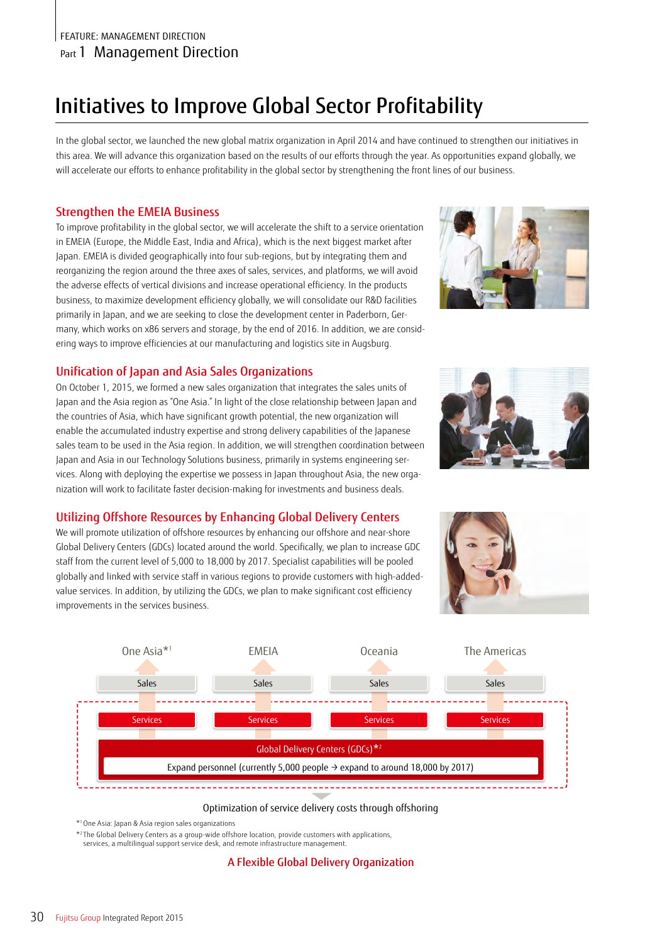# Initiatives to Improve Global Sector Profitability

In the global sector, we launched the new global matrix organization in April 2014 and have continued to strengthen our initiatives in this area. We will advance this organization based on the results of our efforts through the year. As opportunities expand globally, we will accelerate our efforts to enhance profitability in the global sector by strengthening the front lines of our business.

### Strengthen the EMEIA Business

To improve profitability in the global sector, we will accelerate the shift to a service orientation in EMEIA (Europe, the Middle East, India and Africa), which is the next biggest market after Japan. EMEIA is divided geographically into four sub-regions, but by integrating them and reorganizing the region around the three axes of sales, services, and platforms, we will avoid the adverse effects of vertical divisions and increase operational efficiency. In the products business, to maximize development efficiency globally, we will consolidate our R&D facilities primarily in Japan, and we are seeking to close the development center in Paderborn, Germany, which works on x86 servers and storage, by the end of 2016. In addition, we are considering ways to improve efficiencies at our manufacturing and logistics site in Augsburg.

### Unification of Japan and Asia Sales Organizations

On October 1, 2015, we formed a new sales organization that integrates the sales units of Japan and the Asia region as "One Asia." In light of the close relationship between Japan and the countries of Asia, which have significant growth potential, the new organization will enable the accumulated industry expertise and strong delivery capabilities of the Japanese sales team to be used in the Asia region. In addition, we will strengthen coordination between Japan and Asia in our Technology Solutions business, primarily in systems engineering services. Along with deploying the expertise we possess in Japan throughout Asia, the new organization will work to facilitate faster decision-making for investments and business deals.

### Utilizing Offshore Resources by Enhancing Global Delivery Centers

We will promote utilization of offshore resources by enhancing our offshore and near-shore Global Delivery Centers (GDCs) located around the world. Specifically, we plan to increase GDC staff from the current level of 5,000 to 18,000 by 2017. Specialist capabilities will be pooled globally and linked with service staff in various regions to provide customers with high-addedvalue services. In addition, by utilizing the GDCs, we plan to make significant cost efficiency improvements in the services business.





#### Optimization of service delivery costs through offshoring

\*1 One Asia: Japan & Asia region sales organizations

\*2 The Global Delivery Centers as a group-wide offshore location, provide customers with applications,

services, a multilingual support service desk, and remote infrastructure management.

A Flexible Global Delivery Organization



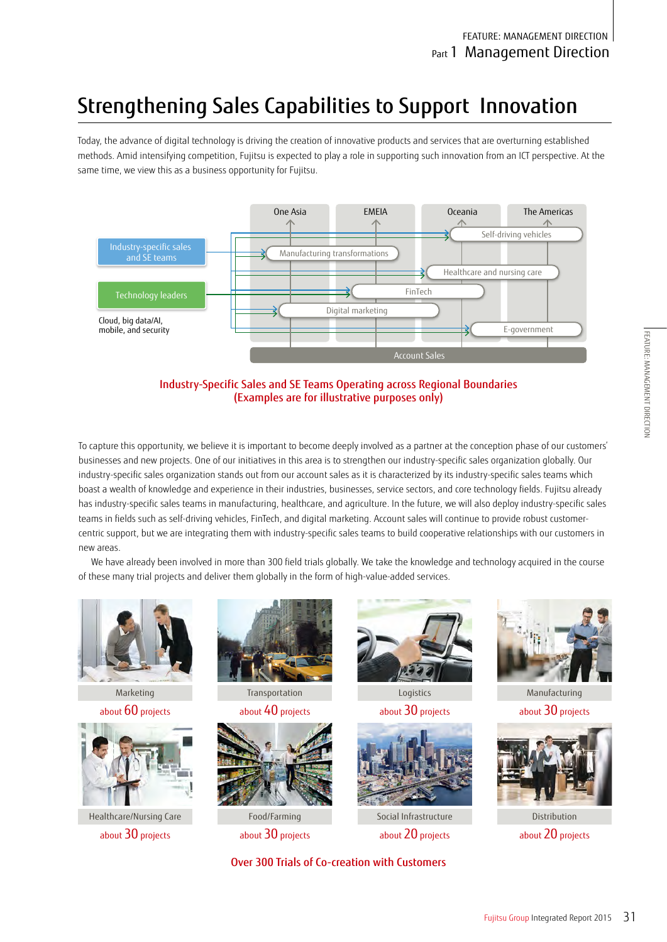# Strengthening Sales Capabilities to Support Innovation

Today, the advance of digital technology is driving the creation of innovative products and services that are overturning established methods. Amid intensifying competition, Fujitsu is expected to play a role in supporting such innovation from an ICT perspective. At the same time, we view this as a business opportunity for Fujitsu.





To capture this opportunity, we believe it is important to become deeply involved as a partner at the conception phase of our customers' businesses and new projects. One of our initiatives in this area is to strengthen our industry-specific sales organization globally. Our industry-specific sales organization stands out from our account sales as it is characterized by its industry-specific sales teams which boast a wealth of knowledge and experience in their industries, businesses, service sectors, and core technology fields. Fujitsu already has industry-specific sales teams in manufacturing, healthcare, and agriculture. In the future, we will also deploy industry-specific sales teams in fields such as self-driving vehicles, FinTech, and digital marketing. Account sales will continue to provide robust customercentric support, but we are integrating them with industry-specific sales teams to build cooperative relationships with our customers in new areas.

We have already been involved in more than 300 field trials globally. We take the knowledge and technology acquired in the course of these many trial projects and deliver them globally in the form of high-value-added services.



Marketing about 60 projects



Healthcare/Nursing Care about 30 projects



Transportation

about 40 projects



Food/Farming about 30 projects



Logistics about 30 projects



Social Infrastructure about 20 projects

Over 300 Trials of Co-creation with Customers



Manufacturing about 30 projects



Distribution about 20 projects